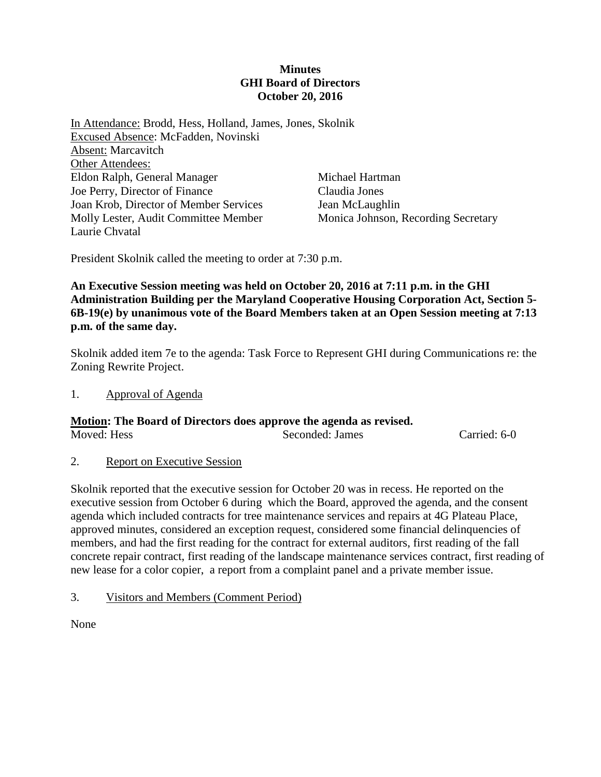### **Minutes GHI Board of Directors October 20, 2016**

In Attendance: Brodd, Hess, Holland, James, Jones, Skolnik Excused Absence: McFadden, Novinski Absent: Marcavitch Other Attendees: Eldon Ralph, General Manager Joe Perry, Director of Finance Joan Krob, Director of Member Services Molly Lester, Audit Committee Member Laurie Chvatal

Michael Hartman Claudia Jones Jean McLaughlin Monica Johnson, Recording Secretary

President Skolnik called the meeting to order at 7:30 p.m.

## **An Executive Session meeting was held on October 20, 2016 at 7:11 p.m. in the GHI Administration Building per the Maryland Cooperative Housing Corporation Act, Section 5- 6B-19(e) by unanimous vote of the Board Members taken at an Open Session meeting at 7:13 p.m. of the same day.**

Skolnik added item 7e to the agenda: Task Force to Represent GHI during Communications re: the Zoning Rewrite Project.

1. Approval of Agenda

# **Motion: The Board of Directors does approve the agenda as revised.**

Moved: Hess Seconded: James Carried: 6-0

2. Report on Executive Session

Skolnik reported that the executive session for October 20 was in recess. He reported on the executive session from October 6 during which the Board, approved the agenda, and the consent agenda which included contracts for tree maintenance services and repairs at 4G Plateau Place, approved minutes, considered an exception request, considered some financial delinquencies of members, and had the first reading for the contract for external auditors, first reading of the fall concrete repair contract, first reading of the landscape maintenance services contract, first reading of new lease for a color copier, a report from a complaint panel and a private member issue.

3. Visitors and Members (Comment Period)

None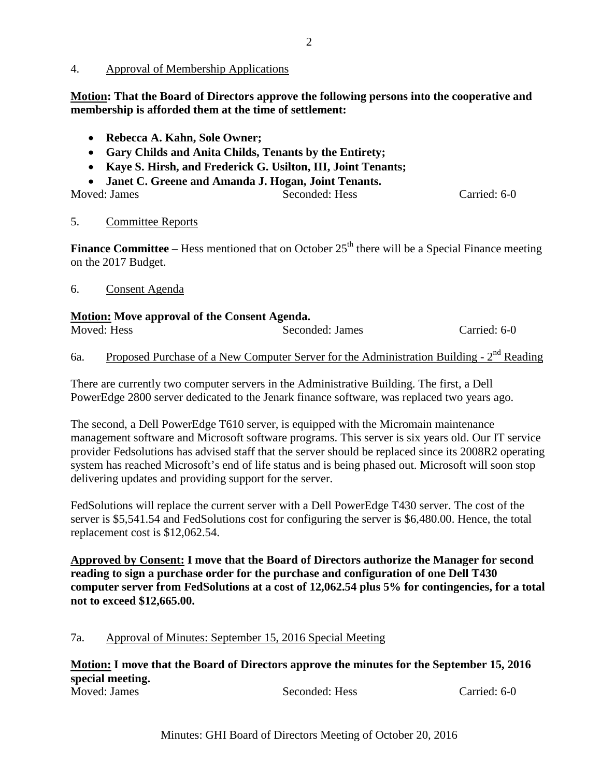**Motion: That the Board of Directors approve the following persons into the cooperative and membership is afforded them at the time of settlement:**

- **Rebecca A. Kahn, Sole Owner;**
- **Gary Childs and Anita Childs, Tenants by the Entirety;**
- **Kaye S. Hirsh, and Frederick G. Usilton, III, Joint Tenants;**
- **Janet C. Greene and Amanda J. Hogan, Joint Tenants.**

| Moved: James | Seconded: Hess | Carried: 6-0 |
|--------------|----------------|--------------|

### 5. Committee Reports

**Finance Committee** – Hess mentioned that on October  $25<sup>th</sup>$  there will be a Special Finance meeting on the 2017 Budget.

6. Consent Agenda

### **Motion: Move approval of the Consent Agenda.**

| Moved: Hess | Seconded: James | Carried: 6-0 |
|-------------|-----------------|--------------|

6a. Proposed Purchase of a New Computer Server for the Administration Building -  $2<sup>nd</sup>$  Reading

There are currently two computer servers in the Administrative Building. The first, a Dell PowerEdge 2800 server dedicated to the Jenark finance software, was replaced two years ago.

The second, a Dell PowerEdge T610 server, is equipped with the Micromain maintenance management software and Microsoft software programs. This server is six years old. Our IT service provider Fedsolutions has advised staff that the server should be replaced since its 2008R2 operating system has reached Microsoft's end of life status and is being phased out. Microsoft will soon stop delivering updates and providing support for the server.

FedSolutions will replace the current server with a Dell PowerEdge T430 server. The cost of the server is \$5,541.54 and FedSolutions cost for configuring the server is \$6,480.00. Hence, the total replacement cost is \$12,062.54.

**Approved by Consent: I move that the Board of Directors authorize the Manager for second reading to sign a purchase order for the purchase and configuration of one Dell T430 computer server from FedSolutions at a cost of 12,062.54 plus 5% for contingencies, for a total not to exceed \$12,665.00.**

# 7a. Approval of Minutes: September 15, 2016 Special Meeting

**Motion: I move that the Board of Directors approve the minutes for the September 15, 2016 special meeting.**  Seconded: Hess Carried: 6-0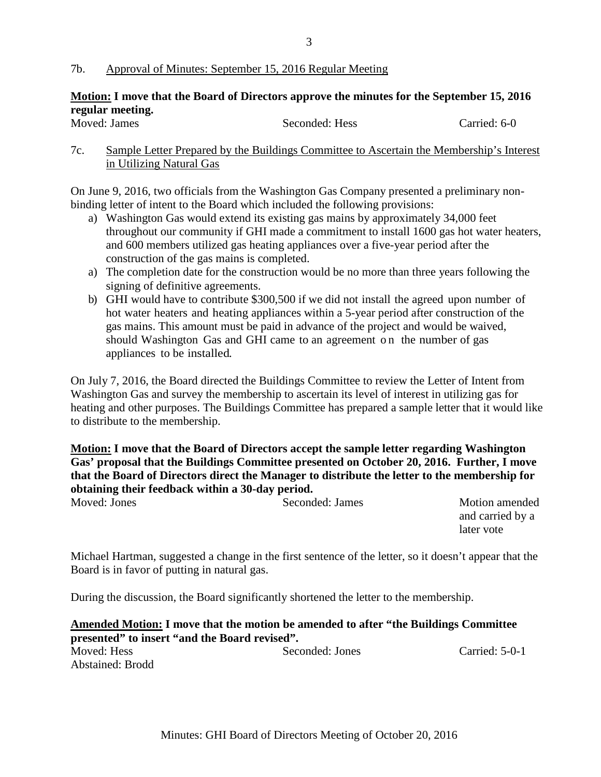### 7b. Approval of Minutes: September 15, 2016 Regular Meeting

# **Motion: I move that the Board of Directors approve the minutes for the September 15, 2016 regular meeting.**

| Moved: James | Seconded: Hess | Carried: 6-0 |
|--------------|----------------|--------------|

7c. Sample Letter Prepared by the Buildings Committee to Ascertain the Membership's Interest in Utilizing Natural Gas

On June 9, 2016, two officials from the Washington Gas Company presented a preliminary nonbinding letter of intent to the Board which included the following provisions:

- a) Washington Gas would extend its existing gas mains by approximately 34,000 feet throughout our community if GHI made a commitment to install 1600 gas hot water heaters, and 600 members utilized gas heating appliances over a five-year period after the construction of the gas mains is completed.
- a) The completion date for the construction would be no more than three years following the signing of definitive agreements.
- b) GHI would have to contribute \$300,500 if we did not install the agreed upon number of hot water heaters and heating appliances within a 5-year period after construction of the gas mains. This amount must be paid in advance of the project and would be waived, should Washington Gas and GHI came to an agreement on the number of gas appliances to be installed.

On July 7, 2016, the Board directed the Buildings Committee to review the Letter of Intent from Washington Gas and survey the membership to ascertain its level of interest in utilizing gas for heating and other purposes. The Buildings Committee has prepared a sample letter that it would like to distribute to the membership.

# **Motion: I move that the Board of Directors accept the sample letter regarding Washington Gas' proposal that the Buildings Committee presented on October 20, 2016. Further, I move that the Board of Directors direct the Manager to distribute the letter to the membership for obtaining their feedback within a 30-day period.**

Motion amended and carried by a later vote

Michael Hartman, suggested a change in the first sentence of the letter, so it doesn't appear that the Board is in favor of putting in natural gas.

During the discussion, the Board significantly shortened the letter to the membership.

# **Amended Motion: I move that the motion be amended to after "the Buildings Committee presented"** to **insert** "and the Board revised".<br>Moved: Hess

Seconded: Jones Carried: 5-0-1 Abstained: Brodd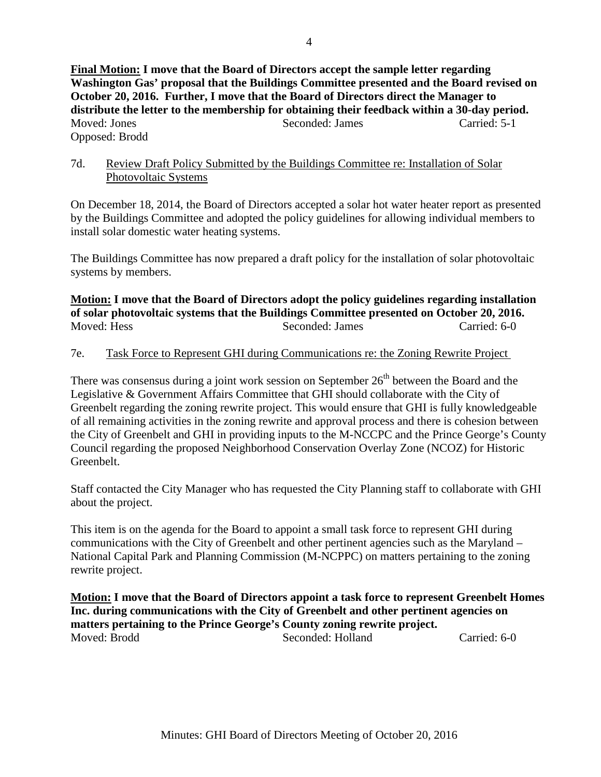## 7d. Review Draft Policy Submitted by the Buildings Committee re: Installation of Solar Photovoltaic Systems

On December 18, 2014, the Board of Directors accepted a solar hot water heater report as presented by the Buildings Committee and adopted the policy guidelines for allowing individual members to install solar domestic water heating systems.

The Buildings Committee has now prepared a draft policy for the installation of solar photovoltaic systems by members.

**Motion: I move that the Board of Directors adopt the policy guidelines regarding installation of solar photovoltaic systems that the Buildings Committee presented on October 20, 2016.**  Moved: Hess Seconded: James Carried: 6-0

# 7e. Task Force to Represent GHI during Communications re: the Zoning Rewrite Project

There was consensus during a joint work session on September  $26<sup>th</sup>$  between the Board and the Legislative & Government Affairs Committee that GHI should collaborate with the City of Greenbelt regarding the zoning rewrite project. This would ensure that GHI is fully knowledgeable of all remaining activities in the zoning rewrite and approval process and there is cohesion between the City of Greenbelt and GHI in providing inputs to the M-NCCPC and the Prince George's County Council regarding the proposed Neighborhood Conservation Overlay Zone (NCOZ) for Historic Greenbelt.

Staff contacted the City Manager who has requested the City Planning staff to collaborate with GHI about the project.

This item is on the agenda for the Board to appoint a small task force to represent GHI during communications with the City of Greenbelt and other pertinent agencies such as the Maryland – National Capital Park and Planning Commission (M-NCPPC) on matters pertaining to the zoning rewrite project.

**Motion: I move that the Board of Directors appoint a task force to represent Greenbelt Homes Inc. during communications with the City of Greenbelt and other pertinent agencies on matters pertaining to the Prince George's County zoning rewrite project.** Moved: Brodd Seconded: Holland Carried: 6-0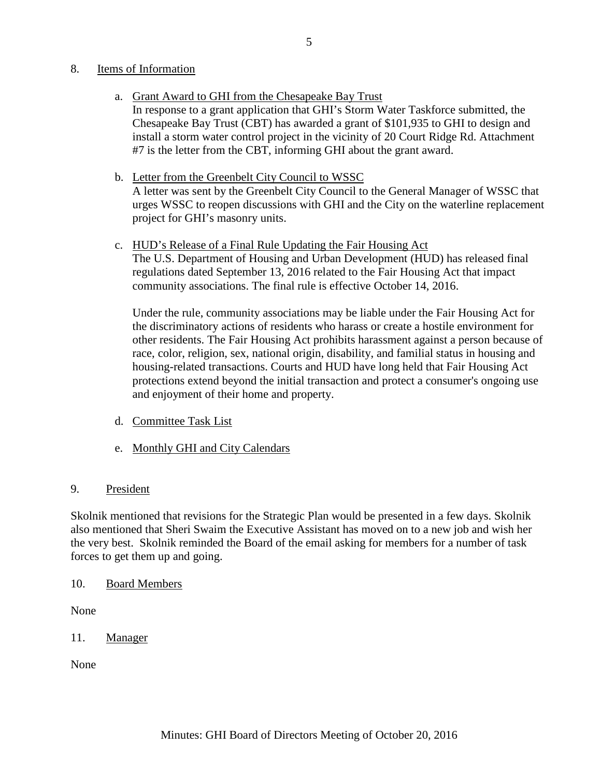### 8. Items of Information

- a. Grant Award to GHI from the Chesapeake Bay Trust In response to a grant application that GHI's Storm Water Taskforce submitted, the Chesapeake Bay Trust (CBT) has awarded a grant of \$101,935 to GHI to design and install a storm water control project in the vicinity of 20 Court Ridge Rd. Attachment #7 is the letter from the CBT, informing GHI about the grant award.
- b. Letter from the Greenbelt City Council to WSSC A letter was sent by the Greenbelt City Council to the General Manager of WSSC that urges WSSC to reopen discussions with GHI and the City on the waterline replacement project for GHI's masonry units.
- c. HUD's Release of a Final Rule Updating the Fair Housing Act The U.S. Department of Housing and Urban Development (HUD) has released final regulations dated September 13, 2016 related to the Fair Housing Act that impact community associations. The final rule is effective October 14, 2016.

Under the rule, community associations may be liable under the Fair Housing Act for the discriminatory actions of residents who harass or create a hostile environment for other residents. The Fair Housing Act prohibits harassment against a person because of race, color, religion, sex, national origin, disability, and familial status in housing and housing-related transactions. Courts and HUD have long held that Fair Housing Act protections extend beyond the initial transaction and protect a consumer's ongoing use and enjoyment of their home and property.

- d. Committee Task List
- e. Monthly GHI and City Calendars

### 9. President

Skolnik mentioned that revisions for the Strategic Plan would be presented in a few days. Skolnik also mentioned that Sheri Swaim the Executive Assistant has moved on to a new job and wish her the very best. Skolnik reminded the Board of the email asking for members for a number of task forces to get them up and going.

10. Board Members

None

11. Manager

None